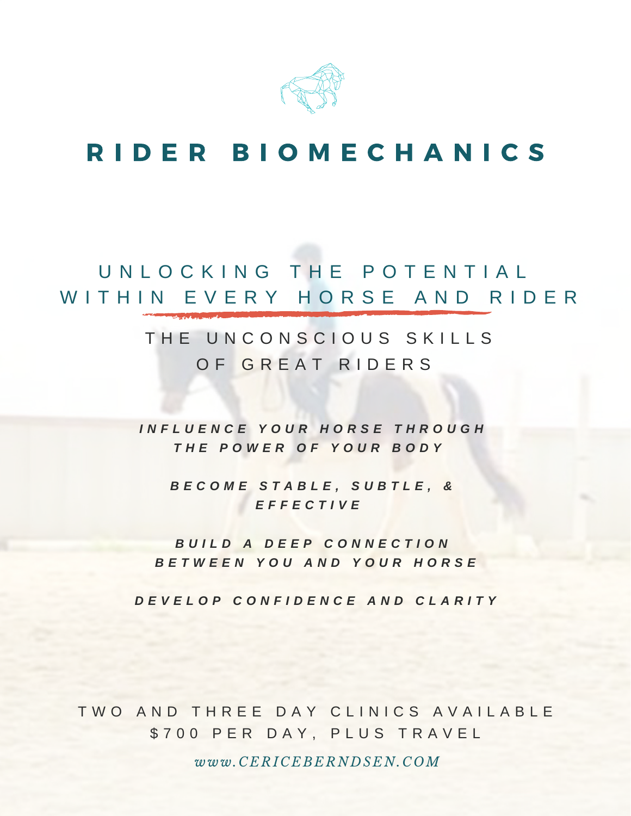

# R I D E R B I O M E C H A N I C S

### U N L O C K I N G T H E P O T E N T I A L WITHIN EVERY HORSE AND RIDER

#### THE UNCONSCIOUS SKILLS OF GREAT RIDERS

*I N F L U E N C E Y O U R H O R S E T H R O U G H T H E P O W E R O F Y O U R B O D Y*

*B E C O M E S T A B L E , S U B T L E , & E F F E C T I V E*

*B U I L D A D E E P C O N N E C T I O N B E T W E E N Y O U A N D Y O U R H O R S E*

DEVELOP CONFIDENCE AND CLARITY

TWO AND THREE DAY CLINICS AVAILABLE \$700 PER DAY, PLUS TRAVEL

*www.CERICEBERNDSEN.C OM*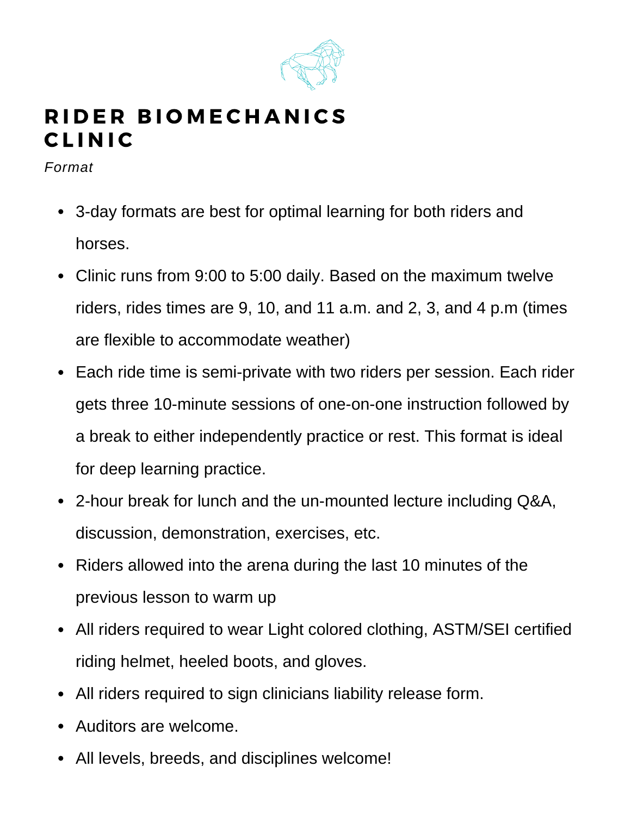

### RIDER BIOMECHANICS **CLINIC**

*Format*

- 3-day formats are best for optimal learning for both riders and horses.
- Clinic runs from 9:00 to 5:00 daily. Based on the maximum twelve riders, rides times are 9, 10, and 11 a.m. and 2, 3, and 4 p.m (times are flexible to accommodate weather)
- Each ride time is semi-private with two riders per session. Each rider gets three 10-minute sessions of one-on-one instruction followed by a break to either independently practice or rest. This format is ideal for deep learning practice.
- 2-hour break for lunch and the un-mounted lecture including Q&A, discussion, demonstration, exercises, etc.
- Riders allowed into the arena during the last 10 minutes of the previous lesson to warm up
- All riders required to wear Light colored clothing, ASTM/SEI certified riding helmet, heeled boots, and gloves.
- All riders required to sign clinicians liability release form.
- Auditors are welcome.
- All levels, breeds, and disciplines welcome!